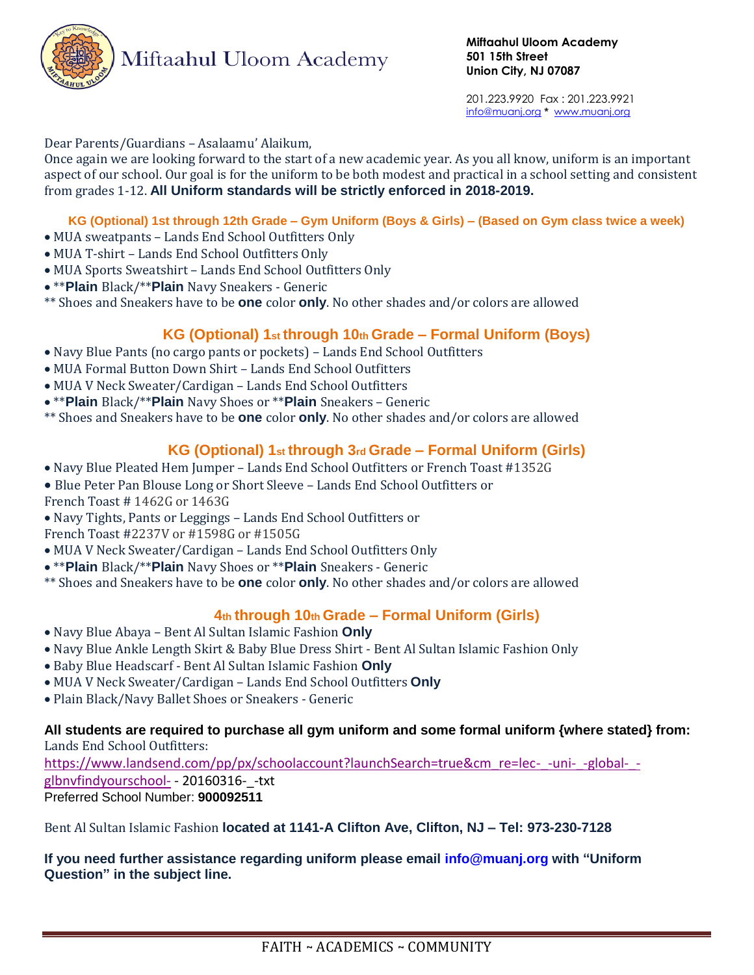

201.223.9920 Fax : 201.223.9921 info@muanj.org **\*** www.muanj.org

#### Dear Parents/Guardians – Asalaamu' Alaikum,

Once again we are looking forward to the start of a new academic year. As you all know, uniform is an important aspect of our school. Our goal is for the uniform to be both modest and practical in a school setting and consistent from grades 1-12. **All Uniform standards will be strictly enforced in 2018-2019.**

#### **KG (Optional) 1st through 12th Grade – Gym Uniform (Boys & Girls) – (Based on Gym class twice a week)**

- MUA sweatpants Lands End School Outfitters Only
- MUA T-shirt Lands End School Outfitters Only
- MUA Sports Sweatshirt Lands End School Outfitters Only
- \*\***Plain** Black/\*\***Plain** Navy Sneakers Generic

\*\* Shoes and Sneakers have to be **one** color **only**. No other shades and/or colors are allowed

### **KG (Optional) 1st through 10th Grade – Formal Uniform (Boys)**

- Navy Blue Pants (no cargo pants or pockets) Lands End School Outfitters
- MUA Formal Button Down Shirt Lands End School Outfitters
- MUA V Neck Sweater/Cardigan Lands End School Outfitters
- \*\***Plain** Black/\*\***Plain** Navy Shoes or \*\***Plain** Sneakers Generic
- \*\* Shoes and Sneakers have to be **one** color **only**. No other shades and/or colors are allowed

### **KG (Optional) 1st through 3rd Grade – Formal Uniform (Girls)**

- Navy Blue Pleated Hem Jumper Lands End School Outfitters or French Toast #1352G
- Blue Peter Pan Blouse Long or Short Sleeve Lands End School Outfitters or
- French Toast # 1462G or 1463G
- Navy Tights, Pants or Leggings Lands End School Outfitters or
- French Toast #2237V or #1598G or #1505G
- MUA V Neck Sweater/Cardigan Lands End School Outfitters Only
- \*\***Plain** Black/\*\***Plain** Navy Shoes or \*\***Plain** Sneakers Generic
- \*\* Shoes and Sneakers have to be **one** color **only**. No other shades and/or colors are allowed

### **4th through 10th Grade – Formal Uniform (Girls)**

- Navy Blue Abaya Bent Al Sultan Islamic Fashion **Only**
- Navy Blue Ankle Length Skirt & Baby Blue Dress Shirt Bent Al Sultan Islamic Fashion Only
- Baby Blue Headscarf Bent Al Sultan Islamic Fashion **Only**
- MUA V Neck Sweater/Cardigan Lands End School Outfitters **Only**
- Plain Black/Navy Ballet Shoes or Sneakers Generic

#### **All students are required to purchase all gym uniform and some formal uniform {where stated} from:** Lands End School Outfitters:

[https://www.landsend.com/pp/px/schoolaccount?launchSearch=true&cm\\_re=lec-\\_-uni-\\_-global-\\_](https://www.landsend.com/pp/px/schoolaccount?launchSearch=true&cm_re=lec-_-uni-_-global-_-glbnvfindyourschool-) [glbnvfindyourschool-](https://www.landsend.com/pp/px/schoolaccount?launchSearch=true&cm_re=lec-_-uni-_-global-_-glbnvfindyourschool-) - 20160316- - txt Preferred School Number: **900092511**

Bent Al Sultan Islamic Fashion **located at 1141-A Clifton Ave, Clifton, NJ – Tel: 973-230-7128**

#### **If you need further assistance regarding uniform please email info@muanj.org with "Uniform Question" in the subject line.**